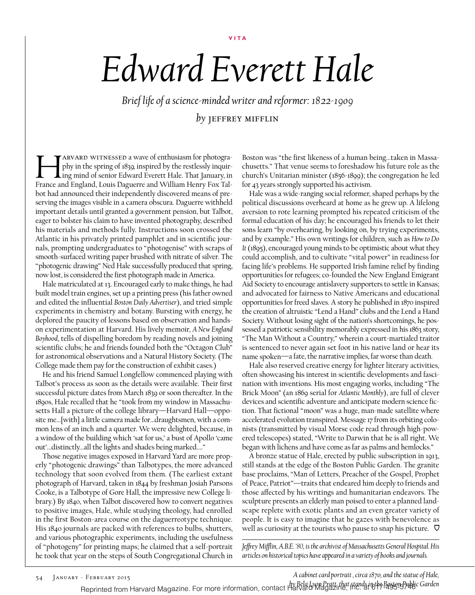**Vita**

## *Edward Everett Hale*

*Brief life of a science-minded writer and reformer: 1822-1909 by* jeffrey mifflin

**Harvard WITNESSED a wave of enthusiasm for photography in the spring of 1839, inspired by the restlessly inquiriting mind of senior Edward Everett Hale. That January, in France and England. I ouis Daguerre and William Hen** phy in the spring of 1839, inspired by the restlessly inquiring mind of senior Edward Everett Hale. That January, in France and England, Louis Daguerre and William Henry Fox Talbot had announced their independently discovered means of preserving the images visible in a camera obscura. Daguerre withheld important details until granted a government pension, but Talbot, eager to bolster his claim to have invented photography, described his materials and methods fully. Instructions soon crossed the Atlantic in his privately printed pamphlet and in scientific journals, prompting undergraduates to "photogenise" with scraps of smooth-surfaced writing paper brushed with nitrate of silver. The "photogenic drawing" Ned Hale successfully produced that spring, now lost, is considered the first photograph made in America.

Hale matriculated at 13. Encouraged early to make things, he had built model train engines, set up a printing press (his father owned and edited the influential *Boston Daily Advertiser*), and tried simple experiments in chemistry and botany. Bursting with energy, he deplored the paucity of lessons based on observation and handson experimentation at Harvard. His lively memoir, *A New England Boyhood*, tells of dispelling boredom by reading novels and joining scientific clubs; he and friends founded both the "Octagon Club" for astronomical observations and a Natural History Society. (The College made them pay for the construction of exhibit cases.)

He and his friend Samuel Longfellow commenced playing with Talbot's process as soon as the details were available. Their first successful picture dates from March 1839 or soon thereafter. In the 1890s, Hale recalled that he "took from my window in Massachusetts Hall a picture of the college library—Harvard Hall—opposite me…[with] a little camera made for…draughtsmen, with a common lens of an inch and a quarter. We were delighted, because, in a window of the building which 'sat for us,' a bust of Apollo 'came out'...distinctly...all the lights and shades being marked...."

Those negative images exposed in Harvard Yard are more properly "photogenic drawings" than Talbotypes, the more advanced technology that soon evolved from them. (The earliest extant photograph of Harvard, taken in 1844 by freshman Josiah Parsons Cooke, is a Talbotype of Gore Hall, the impressive new College library.) By 1840, when Talbot discovered how to convert negatives to positive images, Hale, while studying theology, had enrolled in the first Boston-area course on the daguerreotype technique. His 1840 journals are packed with references to bulbs, shutters, and various photographic experiments, including the usefulness of "photogeny" for printing maps; he claimed that a self-portrait he took that year on the steps of South Congregational Church in

Boston was "the first likeness of a human being...taken in Massachusetts." That venue seems to foreshadow his future role as the church's Unitarian minister (1856-1899); the congregation he led for 43 years strongly supported his activism.

Hale was a wide-ranging social reformer, shaped perhaps by the political discussions overheard at home as he grew up. A lifelong aversion to rote learning prompted his repeated criticism of the formal education of his day; he encouraged his friends to let their sons learn "by overhearing, by looking on, by trying experiments, and by example." His own writings for children, such as *How to Do It* (1895), encouraged young minds to be optimistic about what they could accomplish, and to cultivate "vital power" in readiness for facing life's problems. He supported Irish famine relief by finding opportunities for refugees; co-founded the New England Emigrant Aid Society to encourage antislavery supporters to settle in Kansas; and advocated for fairness to Native Americans and educational opportunities for freed slaves. A story he published in 1870 inspired the creation of altruistic "Lend a Hand" clubs and the Lend a Hand Society. Without losing sight of the nation's shortcomings, he possessed a patriotic sensibility memorably expressed in his 1863 story, "The Man Without a Country," wherein a court-martialed traitor is sentenced to never again set foot in his native land or hear its name spoken—a fate, the narrative implies, far worse than death.

Hale also reserved creative energy for lighter literary activities, often showcasing his interest in scientific developments and fascination with inventions. His most engaging works, including "The Brick Moon" (an 1869 serial for *Atlantic Monthly*), are full of clever devices and scientific adventure and anticipate modern science fiction. That fictional "moon" was a huge, man-made satellite where accelerated evolution transpired. Message 17 from its orbiting colonists (transmitted by visual Morse code read through high-powered telescopes) stated, "Write to Darwin that he is all right. We began with lichens and have come as far as palms and hemlocks."

A bronze statue of Hale, erected by public subscription in 1913, still stands at the edge of the Boston Public Garden. The granite base proclaims, "Man of Letters, Preacher of the Gospel, Prophet of Peace, Patriot"—traits that endeared him deeply to friends and those affected by his writings and humanitarian endeavors. The sculpture presents an elderly man poised to enter a planned landscape replete with exotic plants and an even greater variety of people. It is easy to imagine that he gazes with benevolence as well as curiosity at the tourists who pause to snap his picture.  $\,\nabla\,$ 

*Jeffrey Mifflin, A.B.E. '80, is the archivist of Massachusetts General Hospital. His articles on historical topics have appeared in a variety of books and journals.*

*A cabinet card portrait , circa 1870, and the statue of Hale,* 

*by Bela Lyon Pratt, that stands in the Boston Public Garden*  Reprinted from Harvard Magazine. For more information, contact Harvard Magazine, Inc. at 617-495-5746